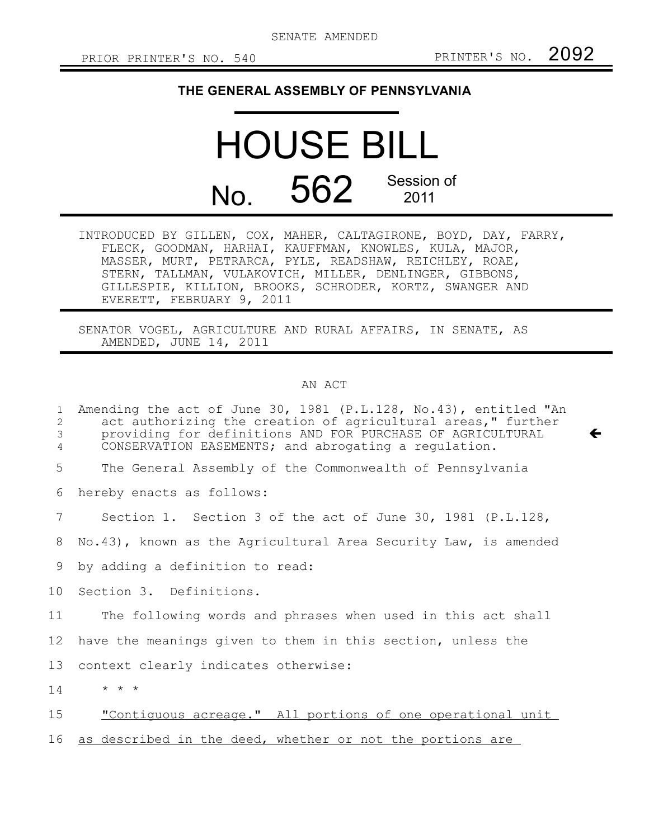$\leftarrow$ 

## **THE GENERAL ASSEMBLY OF PENNSYLVANIA**

## HOUSE BILL No. 562 Session of 2011

INTRODUCED BY GILLEN, COX, MAHER, CALTAGIRONE, BOYD, DAY, FARRY, FLECK, GOODMAN, HARHAI, KAUFFMAN, KNOWLES, KULA, MAJOR, MASSER, MURT, PETRARCA, PYLE, READSHAW, REICHLEY, ROAE, STERN, TALLMAN, VULAKOVICH, MILLER, DENLINGER, GIBBONS, GILLESPIE, KILLION, BROOKS, SCHRODER, KORTZ, SWANGER AND EVERETT, FEBRUARY 9, 2011

SENATOR VOGEL, AGRICULTURE AND RURAL AFFAIRS, IN SENATE, AS AMENDED, JUNE 14, 2011

## AN ACT

| $\mathbf{1}$<br>$\mathbf{2}$<br>3<br>4 | Amending the act of June 30, 1981 (P.L.128, No.43), entitled "An<br>act authorizing the creation of agricultural areas," further<br>providing for definitions AND FOR PURCHASE OF AGRICULTURAL<br>CONSERVATION EASEMENTS; and abrogating a regulation. |
|----------------------------------------|--------------------------------------------------------------------------------------------------------------------------------------------------------------------------------------------------------------------------------------------------------|
| 5                                      | The General Assembly of the Commonwealth of Pennsylvania                                                                                                                                                                                               |
| 6                                      | hereby enacts as follows:                                                                                                                                                                                                                              |
| 7                                      | Section 1. Section 3 of the act of June 30, 1981 (P.L.128,                                                                                                                                                                                             |
| 8                                      | No.43), known as the Agricultural Area Security Law, is amended                                                                                                                                                                                        |
| 9                                      | by adding a definition to read:                                                                                                                                                                                                                        |
| 10                                     | Section 3. Definitions.                                                                                                                                                                                                                                |
| 11                                     | The following words and phrases when used in this act shall                                                                                                                                                                                            |
| 12                                     | have the meanings given to them in this section, unless the                                                                                                                                                                                            |
| 13                                     | context clearly indicates otherwise:                                                                                                                                                                                                                   |
| 14                                     | $\star$ $\star$ $\star$                                                                                                                                                                                                                                |
| 15                                     | "Contiguous acreage." All portions of one operational unit                                                                                                                                                                                             |
| 16                                     | as described in the deed, whether or not the portions are                                                                                                                                                                                              |
|                                        |                                                                                                                                                                                                                                                        |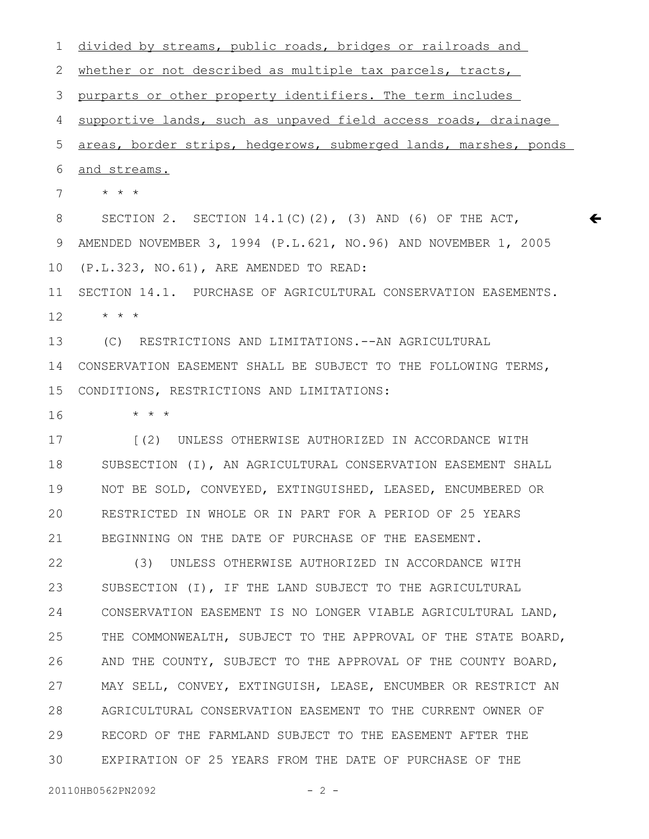divided by streams, public roads, bridges or railroads and whether or not described as multiple tax parcels, tracts, purparts or other property identifiers. The term includes supportive lands, such as unpaved field access roads, drainage areas, border strips, hedgerows, submerged lands, marshes, ponds and streams. \* \* \* SECTION 2. SECTION  $14.1(C)(2)$ , (3) AND (6) OF THE ACT, AMENDED NOVEMBER 3, 1994 (P.L.621, NO.96) AND NOVEMBER 1, 2005 1 2 3 4 5 6 7 8 9 10

 $\leftarrow$ 

SECTION 14.1. PURCHASE OF AGRICULTURAL CONSERVATION EASEMENTS. \* \* \* 11 12

(P.L.323, NO.61), ARE AMENDED TO READ:

(C) RESTRICTIONS AND LIMITATIONS.--AN AGRICULTURAL CONSERVATION EASEMENT SHALL BE SUBJECT TO THE FOLLOWING TERMS, CONDITIONS, RESTRICTIONS AND LIMITATIONS: 13 14 15

\* \* \* 16

[(2) UNLESS OTHERWISE AUTHORIZED IN ACCORDANCE WITH SUBSECTION (I), AN AGRICULTURAL CONSERVATION EASEMENT SHALL NOT BE SOLD, CONVEYED, EXTINGUISHED, LEASED, ENCUMBERED OR RESTRICTED IN WHOLE OR IN PART FOR A PERIOD OF 25 YEARS BEGINNING ON THE DATE OF PURCHASE OF THE EASEMENT. 17 18 19 20 21

(3) UNLESS OTHERWISE AUTHORIZED IN ACCORDANCE WITH SUBSECTION (I), IF THE LAND SUBJECT TO THE AGRICULTURAL CONSERVATION EASEMENT IS NO LONGER VIABLE AGRICULTURAL LAND, THE COMMONWEALTH, SUBJECT TO THE APPROVAL OF THE STATE BOARD, AND THE COUNTY, SUBJECT TO THE APPROVAL OF THE COUNTY BOARD, MAY SELL, CONVEY, EXTINGUISH, LEASE, ENCUMBER OR RESTRICT AN AGRICULTURAL CONSERVATION EASEMENT TO THE CURRENT OWNER OF RECORD OF THE FARMLAND SUBJECT TO THE EASEMENT AFTER THE EXPIRATION OF 25 YEARS FROM THE DATE OF PURCHASE OF THE 22 23 24 25 26 27 28 29 30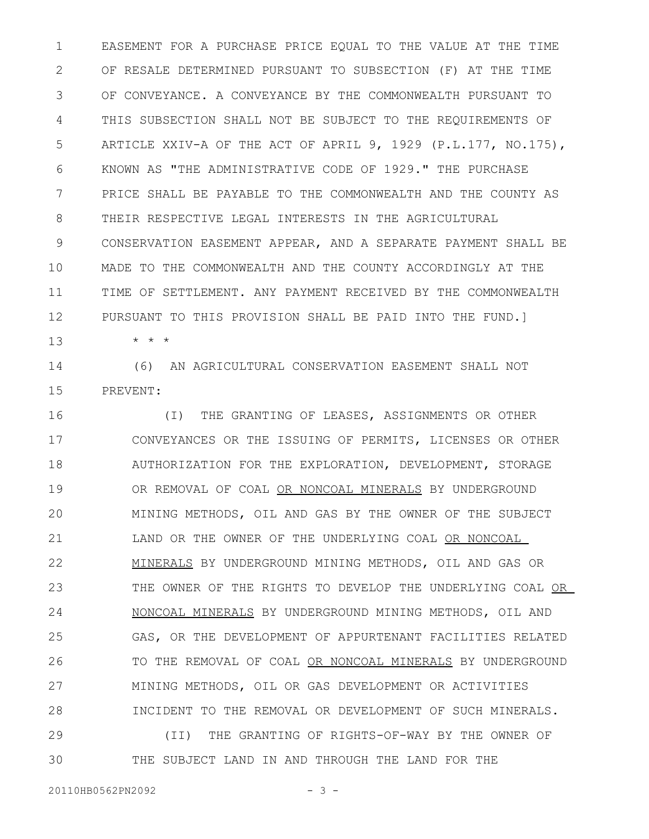EASEMENT FOR A PURCHASE PRICE EQUAL TO THE VALUE AT THE TIME OF RESALE DETERMINED PURSUANT TO SUBSECTION (F) AT THE TIME OF CONVEYANCE. A CONVEYANCE BY THE COMMONWEALTH PURSUANT TO THIS SUBSECTION SHALL NOT BE SUBJECT TO THE REQUIREMENTS OF ARTICLE XXIV-A OF THE ACT OF APRIL 9, 1929 (P.L.177, NO.175), KNOWN AS "THE ADMINISTRATIVE CODE OF 1929." THE PURCHASE PRICE SHALL BE PAYABLE TO THE COMMONWEALTH AND THE COUNTY AS THEIR RESPECTIVE LEGAL INTERESTS IN THE AGRICULTURAL CONSERVATION EASEMENT APPEAR, AND A SEPARATE PAYMENT SHALL BE MADE TO THE COMMONWEALTH AND THE COUNTY ACCORDINGLY AT THE TIME OF SETTLEMENT. ANY PAYMENT RECEIVED BY THE COMMONWEALTH PURSUANT TO THIS PROVISION SHALL BE PAID INTO THE FUND.] \* \* \* 1 2 3 4 5 6 7 8 9 10 11 12 13

(6) AN AGRICULTURAL CONSERVATION EASEMENT SHALL NOT PREVENT: 14 15

(I) THE GRANTING OF LEASES, ASSIGNMENTS OR OTHER CONVEYANCES OR THE ISSUING OF PERMITS, LICENSES OR OTHER AUTHORIZATION FOR THE EXPLORATION, DEVELOPMENT, STORAGE OR REMOVAL OF COAL OR NONCOAL MINERALS BY UNDERGROUND MINING METHODS, OIL AND GAS BY THE OWNER OF THE SUBJECT LAND OR THE OWNER OF THE UNDERLYING COAL OR NONCOAL MINERALS BY UNDERGROUND MINING METHODS, OIL AND GAS OR THE OWNER OF THE RIGHTS TO DEVELOP THE UNDERLYING COAL OR NONCOAL MINERALS BY UNDERGROUND MINING METHODS, OIL AND GAS, OR THE DEVELOPMENT OF APPURTENANT FACILITIES RELATED TO THE REMOVAL OF COAL OR NONCOAL MINERALS BY UNDERGROUND MINING METHODS, OIL OR GAS DEVELOPMENT OR ACTIVITIES INCIDENT TO THE REMOVAL OR DEVELOPMENT OF SUCH MINERALS. (II) THE GRANTING OF RIGHTS-OF-WAY BY THE OWNER OF 16 17 18 19 20 21 22 23 24 25 26 27 28 29

THE SUBJECT LAND IN AND THROUGH THE LAND FOR THE

30